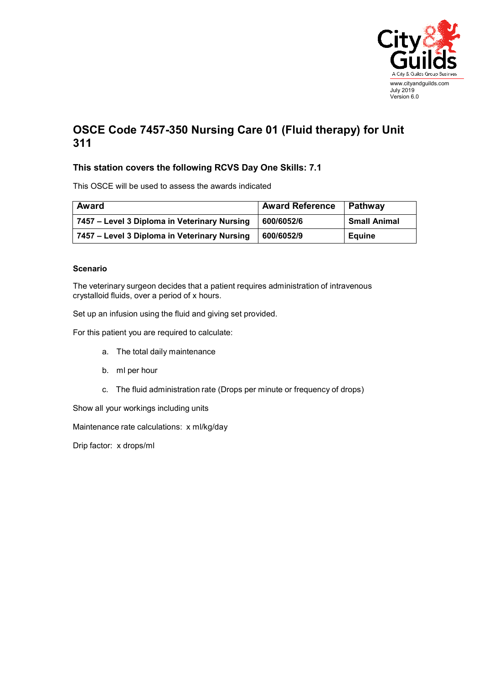

## **OSCE Code 7457-350 Nursing Care 01 (Fluid therapy) for Unit 311**

## **This station covers the following RCVS Day One Skills: 7.1**

This OSCE will be used to assess the awards indicated

| Award                                        | <b>Award Reference</b> | Pathway             |
|----------------------------------------------|------------------------|---------------------|
| 7457 – Level 3 Diploma in Veterinary Nursing | 600/6052/6             | <b>Small Animal</b> |
| 7457 – Level 3 Diploma in Veterinary Nursing | 600/6052/9             | <b>Equine</b>       |

## **Scenario**

The veterinary surgeon decides that a patient requires administration of intravenous crystalloid fluids, over a period of x hours.

Set up an infusion using the fluid and giving set provided.

For this patient you are required to calculate:

- a. The total daily maintenance
- b. ml per hour
- c. The fluid administration rate (Drops per minute or frequency of drops)

Show all your workings including units

Maintenance rate calculations: x ml/kg/day

Drip factor: x drops/ml